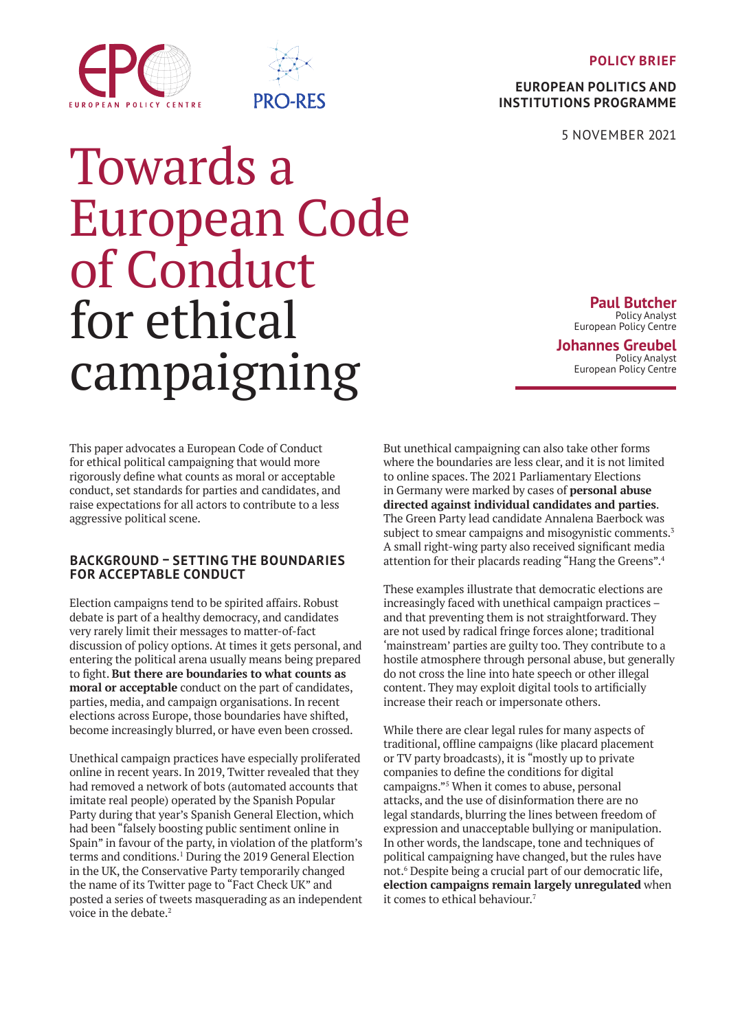**POLICY BRIEF**

**EUROPEAN POLITICS AND INSTITUTIONS PROGRAMME**

5 NOVEMBER 2021

# <span id="page-0-0"></span>EUROPEAN POLICY CENTRE



# Towards a European Code of Conduct for ethical campaigning

**Paul Butcher** Policy Analyst European Policy Centre

**Johannes Greubel** Policy Analyst European Policy Centre

This paper advocates a European Code of Conduct for ethical political campaigning that would more rigorously define what counts as moral or acceptable conduct, set standards for parties and candidates, and raise expectations for all actors to contribute to a less aggressive political scene.

# **BACKGROUND – SETTING THE BOUNDARIES FOR ACCEPTABLE CONDUCT**

Election campaigns tend to be spirited affairs. Robust debate is part of a healthy democracy, and candidates very rarely limit their messages to matter-of-fact discussion of policy options. At times it gets personal, and entering the political arena usually means being prepared to fight. **But there are boundaries to what counts as moral or acceptable** conduct on the part of candidates, parties, media, and campaign organisations. In recent elections across Europe, those boundaries have shifted, become increasingly blurred, or have even been crossed.

Unethical campaign practices have especially proliferated online in recent years. In 2019, Twitter revealed that they had removed a network of bots (automated accounts that imitate real people) operated by the Spanish Popular Party during that year's Spanish General Election, which had been "falsely boosting public sentiment online in Spain" in favour of the party, in violation of the platform's terms and conditions.1 During the 2019 General Election in the UK, the Conservative Party temporarily changed the name of its Twitter page to "Fact Check UK" and posted a series of tweets masquerading as an independent voice in the debate.<sup>2</sup>

But unethical campaigning can also take other forms where the boundaries are less clear, and it is not limited to online spaces. The 2021 Parliamentary Elections in Germany were marked by cases of **personal abuse directed against individual candidates and parties**. The Green Party lead candidate Annalena Baerbock was subject to smear campaigns and misogynistic comments.<sup>3</sup> A small right-wing party also received significant media attention for their placards reading "Hang the Greens".<sup>4</sup>

These examples illustrate that democratic elections are increasingly faced with unethical campaign practices – and that preventing them is not straightforward. They are not used by radical fringe forces alone; traditional 'mainstream' parties are guilty too. They contribute to a hostile atmosphere through personal abuse, but generally do not cross the line into hate speech or other illegal content. They may exploit digital tools to artificially increase their reach or impersonate others.

While there are clear legal rules for many aspects of traditional, offline campaigns (like placard placement or TV party broadcasts), it is "mostly up to private companies to define the conditions for digital campaigns."<sup>5</sup> When it comes to abuse, personal attacks, and the use of disinformation there are no legal standards, blurring the lines between freedom of expression and unacceptable bullying or manipulation. In other words, the landscape, tone and techniques of political campaigning have changed, but the rules have not.<sup>6</sup> Despite being a crucial part of our democratic life, **election campaigns remain largely unregulated** when it comes to ethical behaviour.7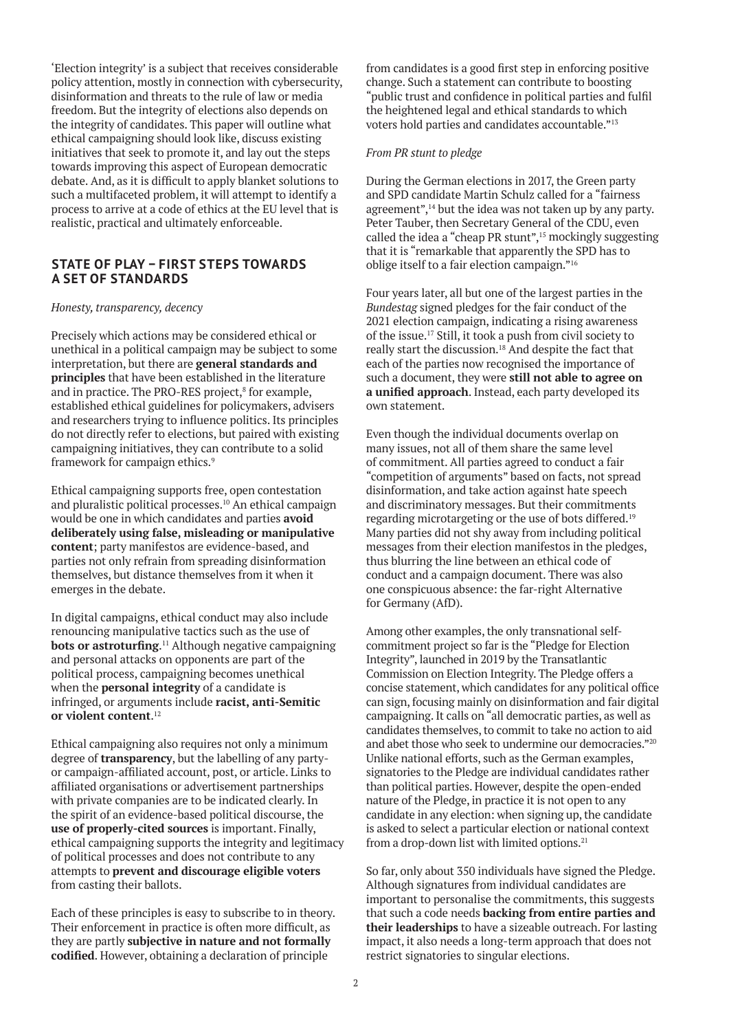'Election integrity' is a subject that receives considerable policy attention, mostly in connection with cybersecurity, disinformation and threats to the rule of law or media freedom. But the integrity of elections also depends on the integrity of candidates. This paper will outline what ethical campaigning should look like, discuss existing initiatives that seek to promote it, and lay out the steps towards improving this aspect of European democratic debate. And, as it is difficult to apply blanket solutions to such a multifaceted problem, it will attempt to identify a process to arrive at a code of ethics at the EU level that is realistic, practical and ultimately enforceable.

# **STATE OF PLAY – FIRST STEPS TOWARDS A SET OF STANDARDS**

#### *Honesty, transparency, decency*

Precisely which actions may be considered ethical or unethical in a political campaign may be subject to some interpretation, but there are **general standards and principles** that have been established in the literature and in practice. The PRO-RES project,<sup>8</sup> for example, established ethical guidelines for policymakers, advisers and researchers trying to influence politics. Its principles do not directly refer to elections, but paired with existing campaigning initiatives, they can contribute to a solid framework for campaign ethics.9

Ethical campaigning supports free, open contestation and pluralistic political processes.10 An ethical campaign would be one in which candidates and parties **avoid deliberately using false, misleading or manipulative content**; party manifestos are evidence-based, and parties not only refrain from spreading disinformation themselves, but distance themselves from it when it emerges in the debate.

In digital campaigns, ethical conduct may also include renouncing manipulative tactics such as the use of **bots or astroturfing.**<sup>11</sup> Although negative campaigning and personal attacks on opponents are part of the political process, campaigning becomes unethical when the **personal integrity** of a candidate is infringed, or arguments include **racist, anti-Semitic or violent content**. 12

Ethical campaigning also requires not only a minimum degree of **transparency**, but the labelling of any partyor campaign-affiliated account, post, or article. Links to affiliated organisations or advertisement partnerships with private companies are to be indicated clearly. In the spirit of an evidence-based political discourse, the **use of properly-cited sources** is important. Finally, ethical campaigning supports the integrity and legitimacy of political processes and does not contribute to any attempts to **prevent and discourage eligible voters** from casting their ballots.

Each of these principles is easy to subscribe to in theory. Their enforcement in practice is often more difficult, as they are partly **subjective in nature and not formally codified**. However, obtaining a declaration of principle

from candidates is a good first step in enforcing positive change. Such a statement can contribute to boosting "public trust and confidence in political parties and fulfil the heightened legal and ethical standards to which voters hold parties and candidates accountable."<sup>13</sup>

#### *From PR stunt to pledge*

During the German elections in 2017, the Green party and SPD candidate Martin Schulz called for a "fairness agreement",<sup>14</sup> but the idea was not taken up by any party. Peter Tauber, then Secretary General of the CDU, even called the idea a "cheap PR stunt",15 mockingly suggesting that it is "remarkable that apparently the SPD has to oblige itself to a fair election campaign."<sup>16</sup>

Four years later, all but one of the largest parties in the *Bundestag* signed pledges for the fair conduct of the 2021 election campaign, indicating a rising awareness of the issue.17 Still, it took a push from civil society to really start the discussion.18 And despite the fact that each of the parties now recognised the importance of such a document, they were **still not able to agree on a unified approach**. Instead, each party developed its own statement.

Even though the individual documents overlap on many issues, not all of them share the same level of commitment. All parties agreed to conduct a fair "competition of arguments" based on facts, not spread disinformation, and take action against hate speech and discriminatory messages. But their commitments regarding microtargeting or the use of bots differed.<sup>19</sup> Many parties did not shy away from including political messages from their election manifestos in the pledges, thus blurring the line between an ethical code of conduct and a campaign document. There was also one conspicuous absence: the far-right Alternative for Germany (AfD).

Among other examples, the only transnational selfcommitment project so far is the "Pledge for Election Integrity", launched in 2019 by the Transatlantic Commission on Election Integrity. The Pledge offers a concise statement, which candidates for any political office can sign, focusing mainly on disinformation and fair digital campaigning. It calls on "all democratic parties, as well as candidates themselves, to commit to take no action to aid and abet those who seek to undermine our democracies."<sup>20</sup> Unlike national efforts, such as the German examples, signatories to the Pledge are individual candidates rather than political parties. However, despite the open-ended nature of the Pledge, in practice it is not open to any candidate in any election: when signing up, the candidate is asked to select a particular election or national context from a drop-down list with limited options.<sup>21</sup>

So far, only about 350 individuals have signed the Pledge. Although signatures from individual candidates are important to personalise the commitments, this suggests that such a code needs **backing from entire parties and their leaderships** to have a sizeable outreach. For lasting impact, it also needs a long-term approach that does not restrict signatories to singular elections.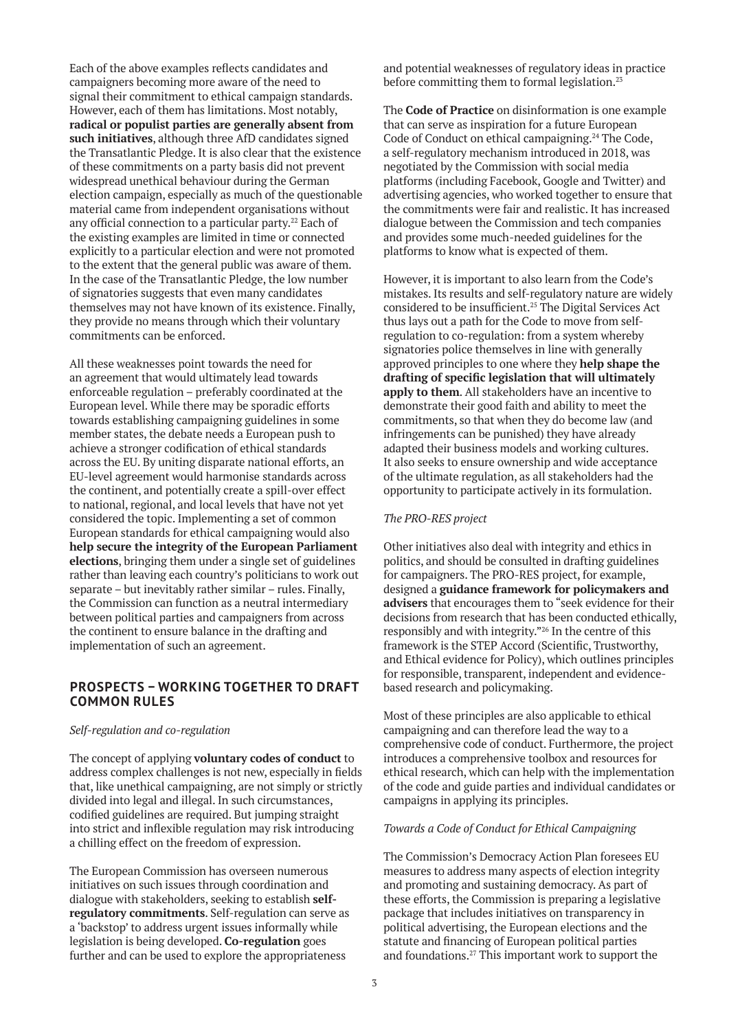Each of the above examples reflects candidates and campaigners becoming more aware of the need to signal their commitment to ethical campaign standards. However, each of them has limitations. Most notably, **radical or populist parties are generally absent from such initiatives**, although three AfD candidates signed the Transatlantic Pledge. It is also clear that the existence of these commitments on a party basis did not prevent widespread unethical behaviour during the German election campaign, especially as much of the questionable material came from independent organisations without any official connection to a particular party.<sup>22</sup> Each of the existing examples are limited in time or connected explicitly to a particular election and were not promoted to the extent that the general public was aware of them. In the case of the Transatlantic Pledge, the low number of signatories suggests that even many candidates themselves may not have known of its existence. Finally, they provide no means through which their voluntary commitments can be enforced.

All these weaknesses point towards the need for an agreement that would ultimately lead towards enforceable regulation – preferably coordinated at the European level. While there may be sporadic efforts towards establishing campaigning guidelines in some member states, the debate needs a European push to achieve a stronger codification of ethical standards across the EU. By uniting disparate national efforts, an EU-level agreement would harmonise standards across the continent, and potentially create a spill-over effect to national, regional, and local levels that have not yet considered the topic. Implementing a set of common European standards for ethical campaigning would also **help secure the integrity of the European Parliament elections**, bringing them under a single set of guidelines rather than leaving each country's politicians to work out separate – but inevitably rather similar – rules. Finally, the Commission can function as a neutral intermediary between political parties and campaigners from across the continent to ensure balance in the drafting and implementation of such an agreement.

## **PROSPECTS – WORKING TOGETHER TO DRAFT COMMON RULES**

#### *Self-regulation and co-regulation*

The concept of applying **voluntary codes of conduct** to address complex challenges is not new, especially in fields that, like unethical campaigning, are not simply or strictly divided into legal and illegal. In such circumstances, codified guidelines are required. But jumping straight into strict and inflexible regulation may risk introducing a chilling effect on the freedom of expression.

The European Commission has overseen numerous initiatives on such issues through coordination and dialogue with stakeholders, seeking to establish **selfregulatory commitments**. Self-regulation can serve as a 'backstop' to address urgent issues informally while legislation is being developed. **Co-regulation** goes further and can be used to explore the appropriateness

and potential weaknesses of regulatory ideas in practice before committing them to formal legislation.<sup>23</sup>

The **Code of Practice** on disinformation is one example that can serve as inspiration for a future European Code of Conduct on ethical campaigning.<sup>24</sup> The Code, a self-regulatory mechanism introduced in 2018, was negotiated by the Commission with social media platforms (including Facebook, Google and Twitter) and advertising agencies, who worked together to ensure that the commitments were fair and realistic. It has increased dialogue between the Commission and tech companies and provides some much-needed guidelines for the platforms to know what is expected of them.

However, it is important to also learn from the Code's mistakes. Its results and self-regulatory nature are widely considered to be insufficient.<sup>25</sup> The Digital Services Act thus lays out a path for the Code to move from selfregulation to co-regulation: from a system whereby signatories police themselves in line with generally approved principles to one where they **help shape the drafting of specific legislation that will ultimately apply to them**. All stakeholders have an incentive to demonstrate their good faith and ability to meet the commitments, so that when they do become law (and infringements can be punished) they have already adapted their business models and working cultures. It also seeks to ensure ownership and wide acceptance of the ultimate regulation, as all stakeholders had the opportunity to participate actively in its formulation.

### *The PRO-RES project*

Other initiatives also deal with integrity and ethics in politics, and should be consulted in drafting guidelines for campaigners. The PRO-RES project, for example, designed a **guidance framework for policymakers and advisers** that encourages them to "seek evidence for their decisions from research that has been conducted ethically, responsibly and with integrity."26 In the centre of this framework is the STEP Accord (Scientific, Trustworthy, and Ethical evidence for Policy), which outlines principles for responsible, transparent, independent and evidencebased research and policymaking.

Most of these principles are also applicable to ethical campaigning and can therefore lead the way to a comprehensive code of conduct. Furthermore, the project introduces a comprehensive toolbox and resources for ethical research, which can help with the implementation of the code and guide parties and individual candidates or campaigns in applying its principles.

#### *Towards a Code of Conduct for Ethical Campaigning*

The Commission's Democracy Action Plan foresees EU measures to address many aspects of election integrity and promoting and sustaining democracy. As part of these efforts, the Commission is preparing a legislative package that includes initiatives on transparency in political advertising, the European elections and the statute and financing of European political parties and foundations.27 This important work to support the